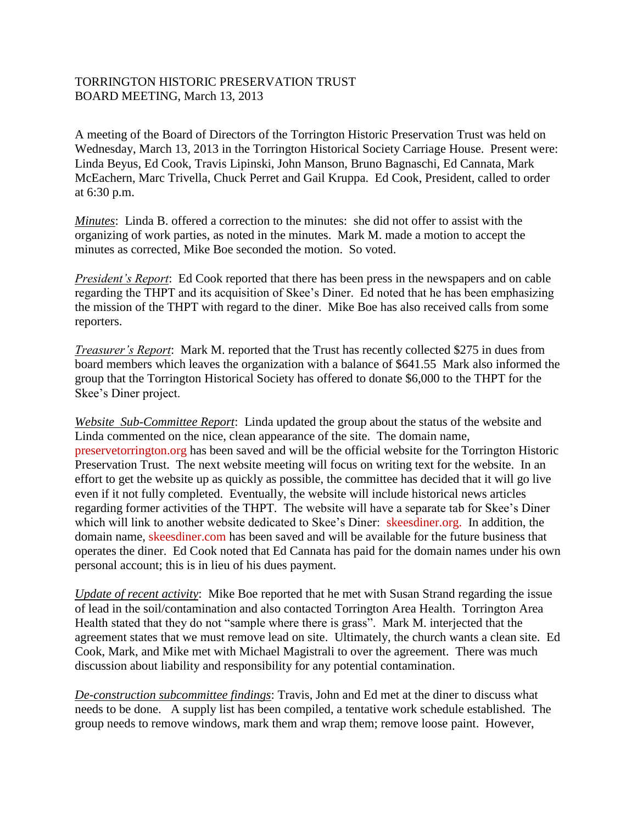## TORRINGTON HISTORIC PRESERVATION TRUST BOARD MEETING, March 13, 2013

A meeting of the Board of Directors of the Torrington Historic Preservation Trust was held on Wednesday, March 13, 2013 in the Torrington Historical Society Carriage House. Present were: Linda Beyus, Ed Cook, Travis Lipinski, John Manson, Bruno Bagnaschi, Ed Cannata, Mark McEachern, Marc Trivella, Chuck Perret and Gail Kruppa. Ed Cook, President, called to order at 6:30 p.m.

*Minutes*: Linda B. offered a correction to the minutes: she did not offer to assist with the organizing of work parties, as noted in the minutes. Mark M. made a motion to accept the minutes as corrected, Mike Boe seconded the motion. So voted.

*President's Report*: Ed Cook reported that there has been press in the newspapers and on cable regarding the THPT and its acquisition of Skee's Diner. Ed noted that he has been emphasizing the mission of the THPT with regard to the diner. Mike Boe has also received calls from some reporters.

*Treasurer's Report*: Mark M. reported that the Trust has recently collected \$275 in dues from board members which leaves the organization with a balance of \$641.55 Mark also informed the group that the Torrington Historical Society has offered to donate \$6,000 to the THPT for the Skee's Diner project.

*Website Sub-Committee Report*: Linda updated the group about the status of the website and Linda commented on the nice, clean appearance of the site. The domain name, preservetorrington.org has been saved and will be the official website for the Torrington Historic Preservation Trust. The next website meeting will focus on writing text for the website. In an effort to get the website up as quickly as possible, the committee has decided that it will go live even if it not fully completed. Eventually, the website will include historical news articles regarding former activities of the THPT. The website will have a separate tab for Skee's Diner which will link to another website dedicated to Skee's Diner: skeesdiner.org. In addition, the domain name, skeesdiner.com has been saved and will be available for the future business that operates the diner. Ed Cook noted that Ed Cannata has paid for the domain names under his own personal account; this is in lieu of his dues payment.

*Update of recent activity*: Mike Boe reported that he met with Susan Strand regarding the issue of lead in the soil/contamination and also contacted Torrington Area Health. Torrington Area Health stated that they do not "sample where there is grass". Mark M. interjected that the agreement states that we must remove lead on site. Ultimately, the church wants a clean site. Ed Cook, Mark, and Mike met with Michael Magistrali to over the agreement. There was much discussion about liability and responsibility for any potential contamination.

*De-construction subcommittee findings*: Travis, John and Ed met at the diner to discuss what needs to be done. A supply list has been compiled, a tentative work schedule established. The group needs to remove windows, mark them and wrap them; remove loose paint. However,